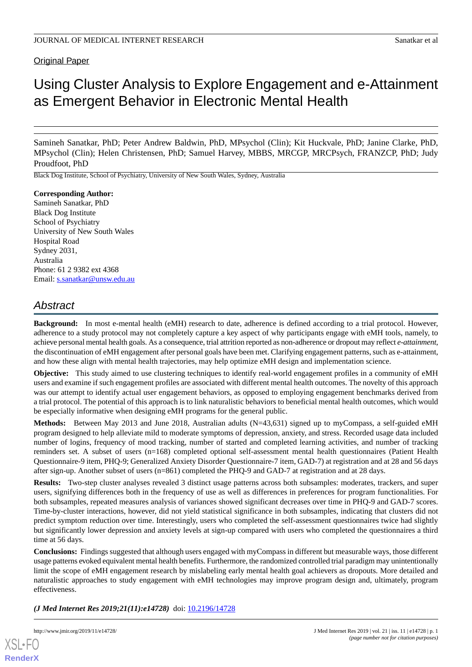# Using Cluster Analysis to Explore Engagement and e-Attainment as Emergent Behavior in Electronic Mental Health

Samineh Sanatkar, PhD; Peter Andrew Baldwin, PhD, MPsychol (Clin); Kit Huckvale, PhD; Janine Clarke, PhD, MPsychol (Clin); Helen Christensen, PhD; Samuel Harvey, MBBS, MRCGP, MRCPsych, FRANZCP, PhD; Judy Proudfoot, PhD

Black Dog Institute, School of Psychiatry, University of New South Wales, Sydney, Australia

# **Corresponding Author:**

Samineh Sanatkar, PhD Black Dog Institute School of Psychiatry University of New South Wales Hospital Road Sydney 2031, Australia Phone: 61 2 9382 ext 4368 Email: [s.sanatkar@unsw.edu.au](mailto:s.sanatkar@unsw.edu.au)

# *Abstract*

**Background:** In most e-mental health (eMH) research to date, adherence is defined according to a trial protocol. However, adherence to a study protocol may not completely capture a key aspect of why participants engage with eMH tools, namely, to achieve personal mental health goals. As a consequence, trial attrition reported as non-adherence or dropout may reflect *e-attainment*, the discontinuation of eMH engagement after personal goals have been met. Clarifying engagement patterns, such as e-attainment, and how these align with mental health trajectories, may help optimize eMH design and implementation science.

**Objective:** This study aimed to use clustering techniques to identify real-world engagement profiles in a community of eMH users and examine if such engagement profiles are associated with different mental health outcomes. The novelty of this approach was our attempt to identify actual user engagement behaviors, as opposed to employing engagement benchmarks derived from a trial protocol. The potential of this approach is to link naturalistic behaviors to beneficial mental health outcomes, which would be especially informative when designing eMH programs for the general public.

**Methods:** Between May 2013 and June 2018, Australian adults (N=43,631) signed up to myCompass, a self-guided eMH program designed to help alleviate mild to moderate symptoms of depression, anxiety, and stress. Recorded usage data included number of logins, frequency of mood tracking, number of started and completed learning activities, and number of tracking reminders set. A subset of users (n=168) completed optional self-assessment mental health questionnaires (Patient Health Questionnaire-9 item, PHQ-9; Generalized Anxiety Disorder Questionnaire-7 item, GAD-7) at registration and at 28 and 56 days after sign-up. Another subset of users (n=861) completed the PHQ-9 and GAD-7 at registration and at 28 days.

**Results:** Two-step cluster analyses revealed 3 distinct usage patterns across both subsamples: moderates, trackers, and super users, signifying differences both in the frequency of use as well as differences in preferences for program functionalities. For both subsamples, repeated measures analysis of variances showed significant decreases over time in PHQ-9 and GAD-7 scores. Time-by-cluster interactions, however, did not yield statistical significance in both subsamples, indicating that clusters did not predict symptom reduction over time. Interestingly, users who completed the self-assessment questionnaires twice had slightly but significantly lower depression and anxiety levels at sign-up compared with users who completed the questionnaires a third time at 56 days.

**Conclusions:** Findings suggested that although users engaged with myCompass in different but measurable ways, those different usage patterns evoked equivalent mental health benefits. Furthermore, the randomized controlled trial paradigm may unintentionally limit the scope of eMH engagement research by mislabeling early mental health goal achievers as dropouts. More detailed and naturalistic approaches to study engagement with eMH technologies may improve program design and, ultimately, program effectiveness.

*(J Med Internet Res 2019;21(11):e14728)* doi:  $10.2196/14728$ 

[XSL](http://www.w3.org/Style/XSL)•FO **[RenderX](http://www.renderx.com/)**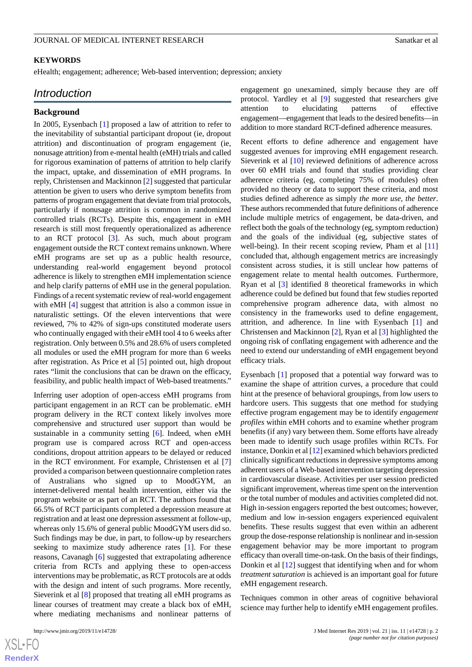#### **KEYWORDS**

eHealth; engagement; adherence; Web-based intervention; depression; anxiety

# *Introduction*

#### **Background**

In 2005, Eysenbach [\[1](#page-10-0)] proposed a law of attrition to refer to the inevitability of substantial participant dropout (ie, dropout attrition) and discontinuation of program engagement (ie, nonusage attrition) from e-mental health (eMH) trials and called for rigorous examination of patterns of attrition to help clarify the impact, uptake, and dissemination of eMH programs. In reply, Christensen and Mackinnon [\[2](#page-10-1)] suggested that particular attention be given to users who derive symptom benefits from patterns of program engagement that deviate from trial protocols, particularly if nonusage attrition is common in randomized controlled trials (RCTs). Despite this, engagement in eMH research is still most frequently operationalized as adherence to an RCT protocol [\[3](#page-10-2)]. As such, much about program engagement outside the RCT context remains unknown. Where eMH programs are set up as a public health resource, understanding real-world engagement beyond protocol adherence is likely to strengthen eMH implementation science and help clarify patterns of eMH use in the general population. Findings of a recent systematic review of real-world engagement with eMH [\[4](#page-10-3)] suggest that attrition is also a common issue in naturalistic settings. Of the eleven interventions that were reviewed, 7% to 42% of sign-ups constituted moderate users who continually engaged with their eMH tool 4 to 6 weeks after registration. Only between 0.5% and 28.6% of users completed all modules or used the eMH program for more than 6 weeks after registration. As Price et al [[5\]](#page-10-4) pointed out, high dropout rates "limit the conclusions that can be drawn on the efficacy, feasibility, and public health impact of Web-based treatments."

Inferring user adoption of open-access eMH programs from participant engagement in an RCT can be problematic. eMH program delivery in the RCT context likely involves more comprehensive and structured user support than would be sustainable in a community setting [\[6](#page-10-5)]. Indeed, when eMH program use is compared across RCT and open-access conditions, dropout attrition appears to be delayed or reduced in the RCT environment. For example, Christensen et al [\[7](#page-10-6)] provided a comparison between questionnaire completion rates of Australians who signed up to MoodGYM, an internet-delivered mental health intervention, either via the program website or as part of an RCT. The authors found that 66.5% of RCT participants completed a depression measure at registration and at least one depression assessment at follow-up, whereas only 15.6% of general public MoodGYM users did so. Such findings may be due, in part, to follow-up by researchers seeking to maximize study adherence rates [\[1](#page-10-0)]. For these reasons, Cavanagh [[6\]](#page-10-5) suggested that extrapolating adherence criteria from RCTs and applying these to open-access interventions may be problematic, as RCT protocols are at odds with the design and intent of such programs. More recently, Sieverink et al [\[8](#page-10-7)] proposed that treating all eMH programs as linear courses of treatment may create a black box of eMH, where mediating mechanisms and nonlinear patterns of

 $XS$ -FO **[RenderX](http://www.renderx.com/)** engagement go unexamined, simply because they are off protocol. Yardley et al [\[9](#page-10-8)] suggested that researchers give attention to elucidating patterns of effective engagement—engagement that leads to the desired benefits—in addition to more standard RCT-defined adherence measures.

Recent efforts to define adherence and engagement have suggested avenues for improving eMH engagement research. Sieverink et al [[10\]](#page-10-9) reviewed definitions of adherence across over 60 eMH trials and found that studies providing clear adherence criteria (eg, completing 75% of modules) often provided no theory or data to support these criteria, and most studies defined adherence as simply *the more use, the better*. These authors recommended that future definitions of adherence include multiple metrics of engagement, be data-driven, and reflect both the goals of the technology (eg, symptom reduction) and the goals of the individual (eg, subjective states of well-being). In their recent scoping review, Pham et al [\[11](#page-10-10)] concluded that, although engagement metrics are increasingly consistent across studies, it is still unclear how patterns of engagement relate to mental health outcomes. Furthermore, Ryan et al [[3\]](#page-10-2) identified 8 theoretical frameworks in which adherence could be defined but found that few studies reported comprehensive program adherence data, with almost no consistency in the frameworks used to define engagement, attrition, and adherence. In line with Eysenbach [\[1](#page-10-0)] and Christensen and Mackinnon [[2\]](#page-10-1), Ryan et al [[3\]](#page-10-2) highlighted the ongoing risk of conflating engagement with adherence and the need to extend our understanding of eMH engagement beyond efficacy trials.

Eysenbach [[1\]](#page-10-0) proposed that a potential way forward was to examine the shape of attrition curves, a procedure that could hint at the presence of behavioral groupings, from low users to hardcore users. This suggests that one method for studying effective program engagement may be to identify *engagement profiles* within eMH cohorts and to examine whether program benefits (if any) vary between them. Some efforts have already been made to identify such usage profiles within RCTs. For instance, Donkin et al [[12\]](#page-11-0) examined which behaviors predicted clinically significant reductions in depressive symptoms among adherent users of a Web-based intervention targeting depression in cardiovascular disease. Activities per user session predicted significant improvement, whereas time spent on the intervention or the total number of modules and activities completed did not. High in-session engagers reported the best outcomes; however, medium and low in-session engagers experienced equivalent benefits. These results suggest that even within an adherent group the dose-response relationship is nonlinear and in-session engagement behavior may be more important to program efficacy than overall time-on-task. On the basis of their findings, Donkin et al [\[12](#page-11-0)] suggest that identifying when and for whom *treatment saturation* is achieved is an important goal for future eMH engagement research.

Techniques common in other areas of cognitive behavioral science may further help to identify eMH engagement profiles.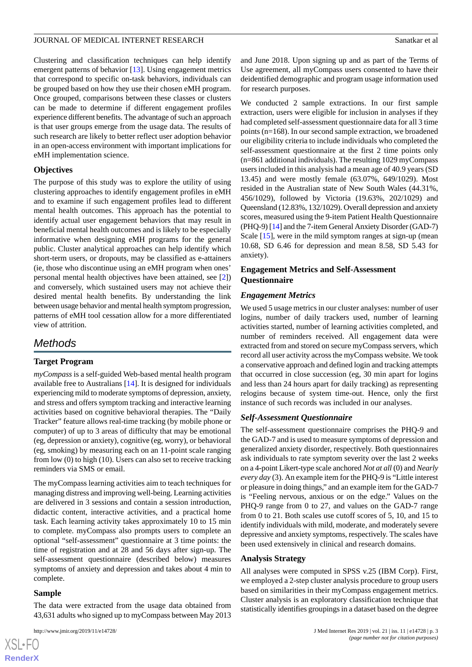Clustering and classification techniques can help identify emergent patterns of behavior [\[13](#page-11-1)]. Using engagement metrics that correspond to specific on-task behaviors, individuals can be grouped based on how they use their chosen eMH program. Once grouped, comparisons between these classes or clusters can be made to determine if different engagement profiles experience different benefits. The advantage of such an approach is that user groups emerge from the usage data. The results of such research are likely to better reflect user adoption behavior in an open-access environment with important implications for eMH implementation science.

# **Objectives**

The purpose of this study was to explore the utility of using clustering approaches to identify engagement profiles in eMH and to examine if such engagement profiles lead to different mental health outcomes. This approach has the potential to identify actual user engagement behaviors that may result in beneficial mental health outcomes and is likely to be especially informative when designing eMH programs for the general public. Cluster analytical approaches can help identify which short-term users, or dropouts, may be classified as e-attainers (ie, those who discontinue using an eMH program when ones' personal mental health objectives have been attained, see [[2\]](#page-10-1)) and conversely, which sustained users may not achieve their desired mental health benefits. By understanding the link between usage behavior and mental health symptom progression, patterns of eMH tool cessation allow for a more differentiated view of attrition.

# *Methods*

# **Target Program**

*myCompass* is a self-guided Web-based mental health program available free to Australians [[14\]](#page-11-2). It is designed for individuals experiencing mild to moderate symptoms of depression, anxiety, and stress and offers symptom tracking and interactive learning activities based on cognitive behavioral therapies. The "Daily Tracker" feature allows real-time tracking (by mobile phone or computer) of up to 3 areas of difficulty that may be emotional (eg, depression or anxiety), cognitive (eg, worry), or behavioral (eg, smoking) by measuring each on an 11-point scale ranging from low (0) to high (10). Users can also set to receive tracking reminders via SMS or email.

The myCompass learning activities aim to teach techniques for managing distress and improving well-being. Learning activities are delivered in 3 sessions and contain a session introduction, didactic content, interactive activities, and a practical home task. Each learning activity takes approximately 10 to 15 min to complete. myCompass also prompts users to complete an optional "self-assessment" questionnaire at 3 time points: the time of registration and at 28 and 56 days after sign-up. The self-assessment questionnaire (described below) measures symptoms of anxiety and depression and takes about 4 min to complete.

# **Sample**

The data were extracted from the usage data obtained from 43,631 adults who signed up to myCompass between May 2013

and June 2018. Upon signing up and as part of the Terms of Use agreement, all myCompass users consented to have their deidentified demographic and program usage information used for research purposes.

We conducted 2 sample extractions. In our first sample extraction, users were eligible for inclusion in analyses if they had completed self-assessment questionnaire data for all 3 time points (n=168). In our second sample extraction, we broadened our eligibility criteria to include individuals who completed the self-assessment questionnaire at the first 2 time points only (n=861 additional individuals). The resulting 1029 myCompass users included in this analysis had a mean age of 40.9 years (SD 13.45) and were mostly female (63.07%, 649/1029). Most resided in the Australian state of New South Wales (44.31%, 456/1029), followed by Victoria (19.63%, 202/1029) and Queensland (12.83%, 132/1029). Overall depression and anxiety scores, measured using the 9-item Patient Health Questionnaire (PHQ-9) [\[14\]](#page-11-2) and the 7-item General Anxiety Disorder (GAD-7) Scale [\[15](#page-11-3)], were in the mild symptom ranges at sign-up (mean 10.68, SD 6.46 for depression and mean 8.58, SD 5.43 for anxiety).

# **Engagement Metrics and Self-Assessment Questionnaire**

#### *Engagement Metrics*

We used 5 usage metrics in our cluster analyses: number of user logins, number of daily trackers used, number of learning activities started, number of learning activities completed, and number of reminders received. All engagement data were extracted from and stored on secure myCompass servers, which record all user activity across the myCompass website. We took a conservative approach and defined login and tracking attempts that occurred in close succession (eg, 30 min apart for logins and less than 24 hours apart for daily tracking) as representing relogins because of system time-out. Hence, only the first instance of such records was included in our analyses.

# *Self-Assessment Questionnaire*

The self-assessment questionnaire comprises the PHQ-9 and the GAD-7 and is used to measure symptoms of depression and generalized anxiety disorder, respectively. Both questionnaires ask individuals to rate symptom severity over the last 2 weeks on a 4-point Likert-type scale anchored *Not at all* (0) and *Nearly every day* (3). An example item for the PHQ-9 is "Little interest or pleasure in doing things," and an example item for the GAD-7 is "Feeling nervous, anxious or on the edge." Values on the PHQ-9 range from 0 to 27, and values on the GAD-7 range from 0 to 21. Both scales use cutoff scores of 5, 10, and 15 to identify individuals with mild, moderate, and moderately severe depressive and anxiety symptoms, respectively. The scales have been used extensively in clinical and research domains.

# **Analysis Strategy**

All analyses were computed in SPSS v.25 (IBM Corp). First, we employed a 2-step cluster analysis procedure to group users based on similarities in their myCompass engagement metrics. Cluster analysis is an exploratory classification technique that statistically identifies groupings in a dataset based on the degree

```
XSL•FO
RenderX
```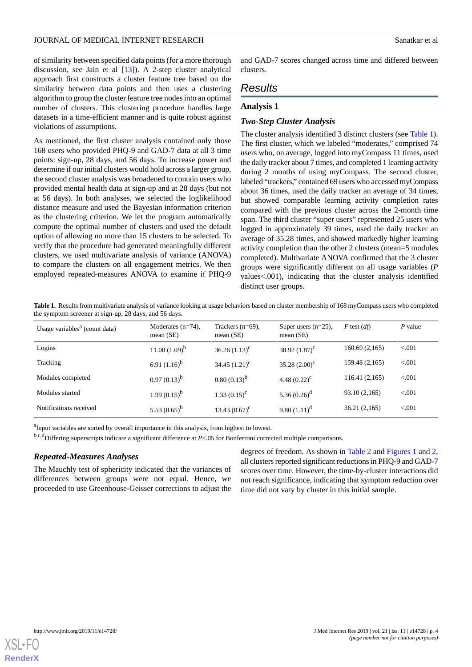of similarity between specified data points (for a more thorough discussion, see Jain et al [[13\]](#page-11-1)). A 2-step cluster analytical approach first constructs a cluster feature tree based on the similarity between data points and then uses a clustering algorithm to group the cluster feature tree nodes into an optimal number of clusters. This clustering procedure handles large datasets in a time-efficient manner and is quite robust against violations of assumptions.

As mentioned, the first cluster analysis contained only those 168 users who provided PHQ-9 and GAD-7 data at all 3 time points: sign-up, 28 days, and 56 days. To increase power and determine if our initial clusters would hold across a larger group, the second cluster analysis was broadened to contain users who provided mental health data at sign-up and at 28 days (but not at 56 days). In both analyses, we selected the loglikelihood distance measure and used the Bayesian information criterion as the clustering criterion. We let the program automatically compute the optimal number of clusters and used the default option of allowing no more than 15 clusters to be selected. To verify that the procedure had generated meaningfully different clusters, we used multivariate analysis of variance (ANOVA) to compare the clusters on all engagement metrics. We then employed repeated-measures ANOVA to examine if PHQ-9

and GAD-7 scores changed across time and differed between clusters.

# *Results*

# **Analysis 1**

#### *Two-Step Cluster Analysis*

The cluster analysis identified 3 distinct clusters (see [Table 1\)](#page-3-0). The first cluster, which we labeled "moderates," comprised 74 users who, on average, logged into myCompass 11 times, used the daily tracker about 7 times, and completed 1 learning activity during 2 months of using myCompass. The second cluster, labeled "trackers," contained 69 users who accessed myCompass about 36 times, used the daily tracker an average of 34 times, but showed comparable learning activity completion rates compared with the previous cluster across the 2-month time span. The third cluster "super users" represented 25 users who logged in approximately 39 times, used the daily tracker an average of 35.28 times, and showed markedly higher learning activity completion than the other 2 clusters (mean=5 modules completed). Multivariate ANOVA confirmed that the 3 cluster groups were significantly different on all usage variables (*P* values<.001), indicating that the cluster analysis identified distinct user groups.

<span id="page-3-0"></span>**Table 1.** Results from multivariate analysis of variance looking at usage behaviors based on cluster membership of 168 myCompass users who completed the symptom screener at sign-up, 28 days, and 56 days.

| Usage variables <sup>a</sup> (count data) | Moderates $(n=74)$ ,<br>mean $(SE)$ | Trackers $(n=69)$ ,<br>mean $(SE)$ | Super users $(n=25)$ ,<br>mean $(SE)$ | F test $(df)$  | $P$ value |
|-------------------------------------------|-------------------------------------|------------------------------------|---------------------------------------|----------------|-----------|
| Logins                                    | $11.00(1.09)^{b}$                   | 36.26 $(1.13)^c$                   | 38.92 $(1.87)^c$                      | 160.69(2,165)  | < 0.001   |
| Tracking                                  | 6.91 $(1.16)^b$                     | 34.45 $(1.21)^{c}$                 | 35.28 $(2.00)^{c}$                    | 159.48 (2,165) | < 0.001   |
| Modules completed                         | $0.97(0.13)^{b}$                    | $0.80(0.13)^{b}$                   | 4.48 $(0.22)^{c}$                     | 116.41(2,165)  | < 0.001   |
| Modules started                           | 1.99 $(0.15)^{b}$                   | $1.33(0.15)^c$                     | 5.36 $(0.26)^d$                       | 93.10 (2,165)  | < 0.001   |
| Notifications received                    | 5.53 $(0.65)^{b}$                   | 13.43 $(0.67)^{\circ}$             | 9.80 $(1.11)^d$                       | 36.21(2,165)   | < 0.001   |

<sup>a</sup>Input variables are sorted by overall importance in this analysis, from highest to lowest.

b,c,dDiffering superscripts indicate a significant difference at *P*<.05 for Bonferroni corrected multiple comparisons.

#### *Repeated-Measures Analyses*

The Mauchly test of sphericity indicated that the variances of differences between groups were not equal. Hence, we proceeded to use Greenhouse-Geisser corrections to adjust the

degrees of freedom. As shown in [Table 2](#page-4-0) and [Figures 1](#page-5-0) and [2](#page-6-0), all clusters reported significant reductions in PHQ-9 and GAD-7 scores over time. However, the time-by-cluster interactions did not reach significance, indicating that symptom reduction over time did not vary by cluster in this initial sample.

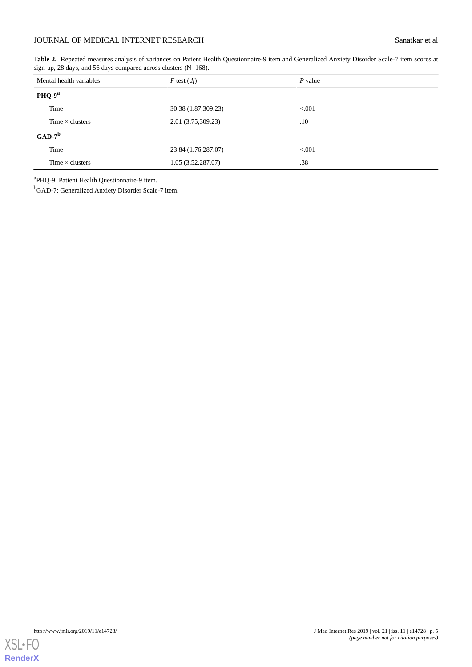# **JOURNAL OF MEDICAL INTERNET RESEARCH** Sanatkar et al

<span id="page-4-0"></span>**Table 2.** Repeated measures analysis of variances on Patient Health Questionnaire-9 item and Generalized Anxiety Disorder Scale-7 item scores at sign-up, 28 days, and 56 days compared across clusters (N=168).

|           | Mental health variables<br>$F$ test $(df)$ |                     | $P$ value |
|-----------|--------------------------------------------|---------------------|-----------|
|           | PHQ-9 <sup>a</sup>                         |                     |           |
|           | Time                                       | 30.38 (1.87,309.23) | < 0.001   |
|           | Time $\times$ clusters                     | 2.01 (3.75,309.23)  | $.10\,$   |
| $GAD-7^b$ |                                            |                     |           |
|           | Time                                       | 23.84 (1.76,287.07) | < 0.001   |
|           | Time $\times$ clusters                     | 1.05(3.52, 287.07)  | .38       |

<sup>a</sup>PHQ-9: Patient Health Questionnaire-9 item.

<sup>b</sup>GAD-7: Generalized Anxiety Disorder Scale-7 item.

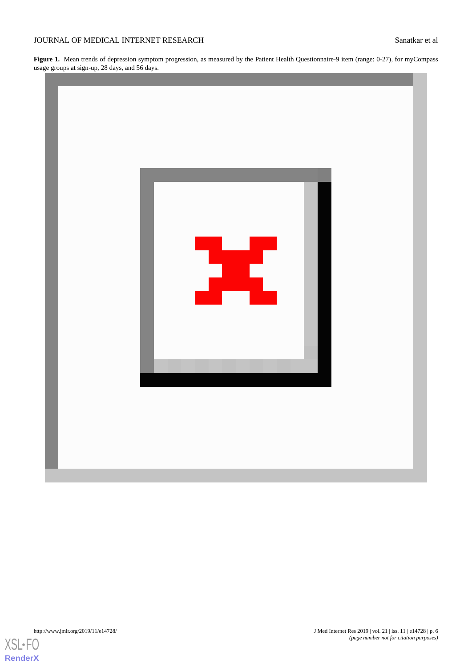# JOURNAL OF MEDICAL INTERNET RESEARCH SANDY SANAT ET ALL SANAT ET ALL SANAT ET ALL SANAT ET ALL SANAT ET ALL SANAT ET ALL SANAT ET ALL SANAT ET ALL SANAT ET ALL SANAT ET ALL SANAT ET ALL SANAT ET ALL SANAT ET ALL SANAT ET A

<span id="page-5-0"></span>**Figure 1.** Mean trends of depression symptom progression, as measured by the Patient Health Questionnaire-9 item (range: 0-27), for myCompass usage groups at sign-up, 28 days, and 56 days.



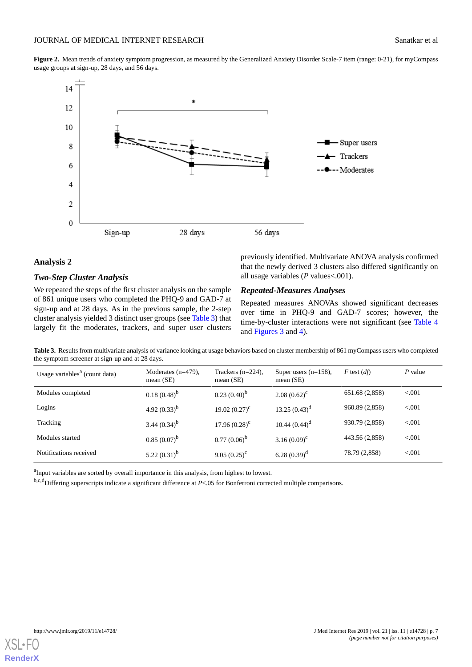<span id="page-6-0"></span>**Figure 2.** Mean trends of anxiety symptom progression, as measured by the Generalized Anxiety Disorder Scale-7 item (range: 0-21), for myCompass usage groups at sign-up, 28 days, and 56 days.



#### **Analysis 2**

#### *Two-Step Cluster Analysis*

<span id="page-6-1"></span>We repeated the steps of the first cluster analysis on the sample of 861 unique users who completed the PHQ-9 and GAD-7 at sign-up and at 28 days. As in the previous sample, the 2-step cluster analysis yielded 3 distinct user groups (see [Table 3](#page-6-1)) that largely fit the moderates, trackers, and super user clusters previously identified. Multivariate ANOVA analysis confirmed that the newly derived 3 clusters also differed significantly on all usage variables (*P* values<.001).

# *Repeated-Measures Analyses*

Repeated measures ANOVAs showed significant decreases over time in PHQ-9 and GAD-7 scores; however, the time-by-cluster interactions were not significant (see [Table 4](#page-7-0) and [Figures 3](#page-7-1) and [4](#page-7-2)).

**Table 3.** Results from multivariate analysis of variance looking at usage behaviors based on cluster membership of 861 myCompass users who completed the symptom screener at sign-up and at 28 days.

| Usage variables <sup>a</sup> (count data) | Moderates $(n=479)$ ,<br>mean $(SE)$ | Trackers $(n=224)$ ,<br>mean $(SE)$ | Super users $(n=158)$ ,<br>mean $(SE)$ | $F$ test $(df)$ | P value |
|-------------------------------------------|--------------------------------------|-------------------------------------|----------------------------------------|-----------------|---------|
| Modules completed                         | $0.18(0.48)^{b}$                     | $0.23(0.40)^{b}$                    | $2.08(0.62)^c$                         | 651.68 (2,858)  | < 0.001 |
| Logins                                    | 4.92 $(0.33)^b$                      | 19.02 $(0.27)^c$                    | 13.25 $(0.43)^d$                       | 960.89 (2,858)  | < 0.001 |
| Tracking                                  | 3.44 $(0.34)^{b}$                    | $17.96(0.28)^c$                     | 10.44 $(0.44)^d$                       | 930.79 (2,858)  | < 0.001 |
| Modules started                           | $0.85(0.07)^{b}$                     | $0.77(0.06)^b$                      | 3.16 $(0.09)^c$                        | 443.56 (2,858)  | < 0.001 |
| Notifications received                    | 5.22 $(0.31)^b$                      | 9.05 $(0.25)^c$                     | 6.28 $(0.39)^d$                        | 78.79 (2,858)   | < 0.001 |

<sup>a</sup>Input variables are sorted by overall importance in this analysis, from highest to lowest.

b,c,dDiffering superscripts indicate a significant difference at *P*<.05 for Bonferroni corrected multiple comparisons.

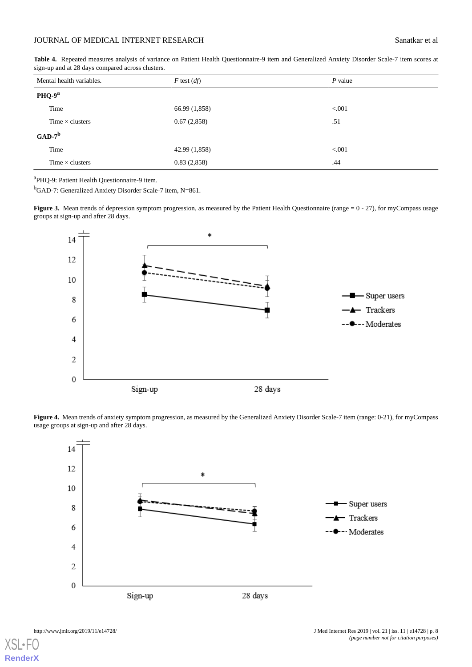# JOURNAL OF MEDICAL INTERNET RESEARCH SANDY SANAT ET ALL SANAT ET ALL SANAT ET ALL SANAT ET ALL SANAT ET ALL SANAT ET ALL SANAT ET ALL SANAT ET ALL SANAT ET ALL SANAT ET ALL SANAT ET ALL SANAT ET ALL SANAT ET ALL SANAT ET A

<span id="page-7-0"></span>**Table 4.** Repeated measures analysis of variance on Patient Health Questionnaire-9 item and Generalized Anxiety Disorder Scale-7 item scores at sign-up and at 28 days compared across clusters.

| Mental health variables. | $F$ test $(df)$ | $P$ value |
|--------------------------|-----------------|-----------|
| PHQ-9 <sup>a</sup>       |                 |           |
| Time                     | 66.99 (1,858)   | < 0.001   |
| Time $\times$ clusters   | 0.67(2,858)     | .51       |
| $GAD-7^b$                |                 |           |
| Time                     | 42.99 (1,858)   | < 0.001   |
| Time $\times$ clusters   | 0.83(2,858)     | .44       |

<sup>a</sup>PHQ-9: Patient Health Questionnaire-9 item.

<span id="page-7-1"></span><sup>b</sup>GAD-7: Generalized Anxiety Disorder Scale-7 item, N=861.

Figure 3. Mean trends of depression symptom progression, as measured by the Patient Health Questionnaire (range = 0 - 27), for myCompass usage groups at sign-up and after 28 days.



<span id="page-7-2"></span>**Figure 4.** Mean trends of anxiety symptom progression, as measured by the Generalized Anxiety Disorder Scale-7 item (range: 0-21), for myCompass usage groups at sign-up and after 28 days.



 $X$ SI • **[RenderX](http://www.renderx.com/)**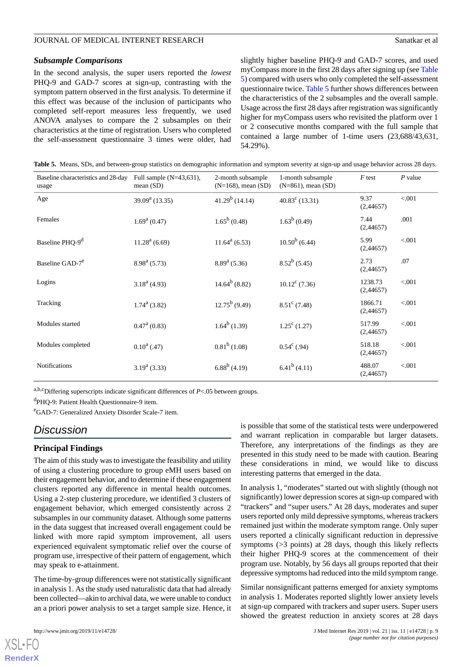#### *Subsample Comparisons*

In the second analysis, the super users reported the *lowest* PHQ-9 and GAD-7 scores at sign-up, contrasting with the symptom pattern observed in the first analysis. To determine if this effect was because of the inclusion of participants who completed self-report measures less frequently, we used ANOVA analyses to compare the 2 subsamples on their characteristics at the time of registration. Users who completed the self-assessment questionnaire 3 times were older, had

slightly higher baseline PHQ-9 and GAD-7 scores, and used myCompass more in the first 28 days after signing up (see [Table](#page-8-0) [5\)](#page-8-0) compared with users who only completed the self-assessment questionnaire twice. [Table 5](#page-8-0) further shows differences between the characteristics of the 2 subsamples and the overall sample. Usage across the first 28 days after registration was significantly higher for myCompass users who revisited the platform over 1 or 2 consecutive months compared with the full sample that contained a large number of 1-time users (23,688/43,631, 54.29%).

<span id="page-8-0"></span>**Table 5.** Means, SDs, and between-group statistics on demographic information and symptom severity at sign-up and usage behavior across 28 days.

| Baseline characteristics and 28-day<br>usage | Full sample $(N=43,631)$ ,<br>mean $(SD)$ | 2-month subsample<br>$(N=168)$ , mean $(SD)$ | 1-month subsample<br>$(N=861)$ , mean $(SD)$ | $F$ test             | $P$ value |
|----------------------------------------------|-------------------------------------------|----------------------------------------------|----------------------------------------------|----------------------|-----------|
| Age                                          | $39.09a$ (13.35)                          | $41.29^b$ (14.14)                            | $40.83^{\circ}$ (13.31)                      | 9.37<br>(2,44657)    | < 0.001   |
| Females                                      | $1.69a$ (0.47)                            | $1.65^b(0.48)$                               | $1.63^b(0.49)$                               | 7.44<br>(2,44657)    | .001      |
| Baseline PHQ-9 <sup>d</sup>                  | $11.28a$ (6.69)                           | $11.64^a(6.53)$                              | $10.50^b$ (6.44)                             | 5.99<br>(2,44657)    | < 0.001   |
| Baseline GAD-7 <sup>e</sup>                  | $8.98a$ (5.73)                            | $8.89a$ (5.36)                               | $8.52^b$ (5.45)                              | 2.73<br>(2,44657)    | .07       |
| Logins                                       | $3.18a$ (4.93)                            | $14.64^b(8.82)$                              | $10.12^{\circ}$ (7.36)                       | 1238.73<br>(2,44657) | < 0.001   |
| Tracking                                     | $1.74^{\mathrm{a}}$ (3.82)                | $12.75^b(9.49)$                              | $8.51^{\circ}$ (7.48)                        | 1866.71<br>(2,44657) | < 0.001   |
| Modules started                              | $0.47^{\text{a}}(0.83)$                   | $1.64^b$ (1.39)                              | $1.25^{\circ}$ (1.27)                        | 517.99<br>(2,44657)  | < 0.001   |
| Modules completed                            | $0.10^a$ (.47)                            | $0.81^b$ (1.08)                              | $0.54^{\circ}$ (.94)                         | 518.18<br>(2,44657)  | < .001    |
| <b>Notifications</b>                         | $3.19a$ (3.33)                            | $6.88^b$ (4.19)                              | $6.41^b$ (4.11)                              | 488.07<br>(2,44657)  | < 0.001   |

a,b,cDiffering superscripts indicate significant differences of *P*<.05 between groups.

<sup>d</sup>PHQ-9: Patient Health Questionnaire-9 item.

<sup>e</sup>GAD-7: Generalized Anxiety Disorder Scale-7 item.

# *Discussion*

# **Principal Findings**

The aim of this study was to investigate the feasibility and utility of using a clustering procedure to group eMH users based on their engagement behavior, and to determine if these engagement clusters reported any difference in mental health outcomes. Using a 2-step clustering procedure, we identified 3 clusters of engagement behavior, which emerged consistently across 2 subsamples in our community dataset. Although some patterns in the data suggest that increased overall engagement could be linked with more rapid symptom improvement, all users experienced equivalent symptomatic relief over the course of program use, irrespective of their pattern of engagement, which may speak to e-attainment.

The time-by-group differences were not statistically significant in analysis 1. As the study used naturalistic data that had already been collected—akin to archival data, we were unable to conduct an a priori power analysis to set a target sample size. Hence, it

[XSL](http://www.w3.org/Style/XSL)•FO **[RenderX](http://www.renderx.com/)**

is possible that some of the statistical tests were underpowered and warrant replication in comparable but larger datasets. Therefore, any interpretations of the findings as they are presented in this study need to be made with caution. Bearing these considerations in mind, we would like to discuss interesting patterns that emerged in the data.

In analysis 1, "moderates" started out with slightly (though not significantly) lower depression scores at sign-up compared with "trackers" and "super users." At 28 days, moderates and super users reported only mild depressive symptoms, whereas trackers remained just within the moderate symptom range. Only super users reported a clinically significant reduction in depressive symptoms (>3 points) at 28 days, though this likely reflects their higher PHQ-9 scores at the commencement of their program use. Notably, by 56 days all groups reported that their depressive symptoms had reduced into the mild symptom range.

Similar nonsignificant patterns emerged for anxiety symptoms in analysis 1. Moderates reported slightly lower anxiety levels at sign-up compared with trackers and super users. Super users showed the greatest reduction in anxiety scores at 28 days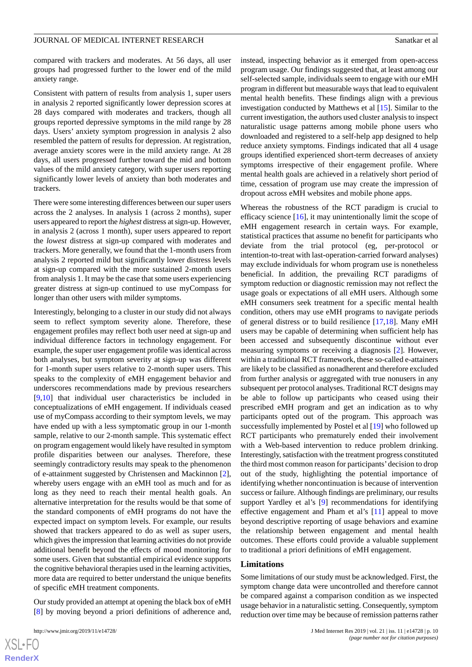compared with trackers and moderates. At 56 days, all user groups had progressed further to the lower end of the mild anxiety range.

Consistent with pattern of results from analysis 1, super users in analysis 2 reported significantly lower depression scores at 28 days compared with moderates and trackers, though all groups reported depressive symptoms in the mild range by 28 days. Users' anxiety symptom progression in analysis 2 also resembled the pattern of results for depression. At registration, average anxiety scores were in the mild anxiety range. At 28 days, all users progressed further toward the mid and bottom values of the mild anxiety category, with super users reporting significantly lower levels of anxiety than both moderates and trackers.

There were some interesting differences between our super users across the 2 analyses. In analysis 1 (across 2 months), super users appeared to report the *highest* distress at sign-up. However, in analysis 2 (across 1 month), super users appeared to report the *lowest* distress at sign-up compared with moderates and trackers. More generally, we found that the 1-month users from analysis 2 reported mild but significantly lower distress levels at sign-up compared with the more sustained 2-month users from analysis 1. It may be the case that some users experiencing greater distress at sign-up continued to use myCompass for longer than other users with milder symptoms.

Interestingly, belonging to a cluster in our study did not always seem to reflect symptom severity alone. Therefore, these engagement profiles may reflect both user need at sign-up and individual difference factors in technology engagement. For example, the super user engagement profile was identical across both analyses, but symptom severity at sign-up was different for 1-month super users relative to 2-month super users. This speaks to the complexity of eMH engagement behavior and underscores recommendations made by previous researchers [[9](#page-10-8)[,10](#page-10-9)] that individual user characteristics be included in conceptualizations of eMH engagement. If individuals ceased use of myCompass according to their symptom levels, we may have ended up with a less symptomatic group in our 1-month sample, relative to our 2-month sample. This systematic effect on program engagement would likely have resulted in symptom profile disparities between our analyses. Therefore, these seemingly contradictory results may speak to the phenomenon of e-attainment suggested by Christensen and Mackinnon [[2\]](#page-10-1), whereby users engage with an eMH tool as much and for as long as they need to reach their mental health goals. An alternative interpretation for the results would be that some of the standard components of eMH programs do not have the expected impact on symptom levels. For example, our results showed that trackers appeared to do as well as super users, which gives the impression that learning activities do not provide additional benefit beyond the effects of mood monitoring for some users. Given that substantial empirical evidence supports the cognitive behavioral therapies used in the learning activities, more data are required to better understand the unique benefits of specific eMH treatment components.

Our study provided an attempt at opening the black box of eMH [[8\]](#page-10-7) by moving beyond a priori definitions of adherence and,

instead, inspecting behavior as it emerged from open-access program usage. Our findings suggested that, at least among our self-selected sample, individuals seem to engage with our eMH program in different but measurable ways that lead to equivalent mental health benefits. These findings align with a previous investigation conducted by Matthews et al [\[15](#page-11-3)]. Similar to the current investigation, the authors used cluster analysis to inspect naturalistic usage patterns among mobile phone users who downloaded and registered to a self-help app designed to help reduce anxiety symptoms. Findings indicated that all 4 usage groups identified experienced short-term decreases of anxiety symptoms irrespective of their engagement profile. Where mental health goals are achieved in a relatively short period of time, cessation of program use may create the impression of dropout across eMH websites and mobile phone apps.

Whereas the robustness of the RCT paradigm is crucial to efficacy science [\[16](#page-11-4)], it may unintentionally limit the scope of eMH engagement research in certain ways. For example, statistical practices that assume no benefit for participants who deviate from the trial protocol (eg, per-protocol or intention-to-treat with last-operation-carried forward analyses) may exclude individuals for whom program use is nonetheless beneficial. In addition, the prevailing RCT paradigms of symptom reduction or diagnostic remission may not reflect the usage goals or expectations of all eMH users. Although some eMH consumers seek treatment for a specific mental health condition, others may use eMH programs to navigate periods of general distress or to build resilience [[17](#page-11-5)[,18](#page-11-6)]. Many eMH users may be capable of determining when sufficient help has been accessed and subsequently discontinue without ever measuring symptoms or receiving a diagnosis [\[2](#page-10-1)]. However, within a traditional RCT framework, these so-called e-attainers are likely to be classified as nonadherent and therefore excluded from further analysis or aggregated with true nonusers in any subsequent per protocol analyses. Traditional RCT designs may be able to follow up participants who ceased using their prescribed eMH program and get an indication as to why participants opted out of the program. This approach was successfully implemented by Postel et al [\[19](#page-11-7)] who followed up RCT participants who prematurely ended their involvement with a Web-based intervention to reduce problem drinking. Interestingly, satisfaction with the treatment progress constituted the third most common reason for participants'decision to drop out of the study, highlighting the potential importance of identifying whether noncontinuation is because of intervention success or failure. Although findings are preliminary, our results support Yardley et al's [[9](#page-10-8)] recommendations for identifying effective engagement and Pham et al's [[11\]](#page-10-10) appeal to move beyond descriptive reporting of usage behaviors and examine the relationship between engagement and mental health outcomes. These efforts could provide a valuable supplement to traditional a priori definitions of eMH engagement.

#### **Limitations**

Some limitations of our study must be acknowledged. First, the symptom change data were uncontrolled and therefore cannot be compared against a comparison condition as we inspected usage behavior in a naturalistic setting. Consequently, symptom reduction over time may be because of remission patterns rather

```
XSL•FO
RenderX
```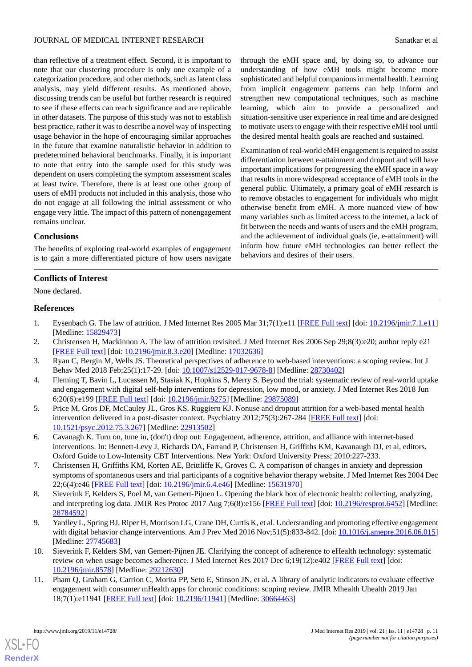#### JOURNAL OF MEDICAL INTERNET RESEARCH SANATA ET ALL AND SANATA SANATA SANATA SANATA SANATA ET ALL AND SANATA SANATA SANATA SANATA SANATA SANATA SANATA SANATA SANATA SANATA SANATA SANATA SANATA SANATA SANATA SANATA SANATA SA

through the eMH space and, by doing so, to advance our understanding of how eMH tools might become more sophisticated and helpful companions in mental health. Learning from implicit engagement patterns can help inform and strengthen new computational techniques, such as machine learning, which aim to provide a personalized and situation-sensitive user experience in real time and are designed to motivate users to engage with their respective eMH tool until the desired mental health goals are reached and sustained.

Examination of real-world eMH engagement is required to assist differentiation between e-attainment and dropout and will have important implications for progressing the eMH space in a way that results in more widespread acceptance of eMH tools in the general public. Ultimately, a primary goal of eMH research is to remove obstacles to engagement for individuals who might otherwise benefit from eMH. A more nuanced view of how many variables such as limited access to the internet, a lack of fit between the needs and wants of users and the eMH program, and the achievement of individual goals (ie, e-attainment) will inform how future eMH technologies can better reflect the

behaviors and desires of their users.

than reflective of a treatment effect. Second, it is important to note that our clustering procedure is only one example of a categorization procedure, and other methods, such as latent class analysis, may yield different results. As mentioned above, discussing trends can be useful but further research is required to see if these effects can reach significance and are replicable in other datasets. The purpose of this study was not to establish best practice, rather it was to describe a novel way of inspecting usage behavior in the hope of encouraging similar approaches in the future that examine naturalistic behavior in addition to predetermined behavioral benchmarks. Finally, it is important to note that entry into the sample used for this study was dependent on users completing the symptom assessment scales at least twice. Therefore, there is at least one other group of users of eMH products not included in this analysis, those who do not engage at all following the initial assessment or who engage very little. The impact of this pattern of nonengagement remains unclear.

# **Conclusions**

The benefits of exploring real-world examples of engagement is to gain a more differentiated picture of how users navigate

# **Conflicts of Interest**

<span id="page-10-0"></span>None declared.

#### <span id="page-10-1"></span>**References**

- <span id="page-10-2"></span>1. Eysenbach G. The law of attrition. J Med Internet Res 2005 Mar 31;7(1):e11 [[FREE Full text\]](https://www.jmir.org/2005/1/e11/) [doi: [10.2196/jmir.7.1.e11](http://dx.doi.org/10.2196/jmir.7.1.e11)] [Medline: [15829473](http://www.ncbi.nlm.nih.gov/entrez/query.fcgi?cmd=Retrieve&db=PubMed&list_uids=15829473&dopt=Abstract)]
- <span id="page-10-3"></span>2. Christensen H, Mackinnon A. The law of attrition revisited. J Med Internet Res 2006 Sep 29;8(3):e20; author reply e21 [[FREE Full text](https://www.jmir.org/2006/3/e20/)] [doi: [10.2196/jmir.8.3.e20\]](http://dx.doi.org/10.2196/jmir.8.3.e20) [Medline: [17032636\]](http://www.ncbi.nlm.nih.gov/entrez/query.fcgi?cmd=Retrieve&db=PubMed&list_uids=17032636&dopt=Abstract)
- <span id="page-10-4"></span>3. Ryan C, Bergin M, Wells JS. Theoretical perspectives of adherence to web-based interventions: a scoping review. Int J Behav Med 2018 Feb;25(1):17-29. [doi: [10.1007/s12529-017-9678-8\]](http://dx.doi.org/10.1007/s12529-017-9678-8) [Medline: [28730402\]](http://www.ncbi.nlm.nih.gov/entrez/query.fcgi?cmd=Retrieve&db=PubMed&list_uids=28730402&dopt=Abstract)
- <span id="page-10-5"></span>4. Fleming T, Bavin L, Lucassen M, Stasiak K, Hopkins S, Merry S. Beyond the trial: systematic review of real-world uptake and engagement with digital self-help interventions for depression, low mood, or anxiety. J Med Internet Res 2018 Jun 6;20(6):e199 [\[FREE Full text](https://www.jmir.org/2018/6/e199/)] [doi: [10.2196/jmir.9275\]](http://dx.doi.org/10.2196/jmir.9275) [Medline: [29875089](http://www.ncbi.nlm.nih.gov/entrez/query.fcgi?cmd=Retrieve&db=PubMed&list_uids=29875089&dopt=Abstract)]
- <span id="page-10-6"></span>5. Price M, Gros DF, McCauley JL, Gros KS, Ruggiero KJ. Nonuse and dropout attrition for a web-based mental health intervention delivered in a post-disaster context. Psychiatry 2012;75(3):267-284 [\[FREE Full text\]](http://europepmc.org/abstract/MED/22913502) [doi: [10.1521/psyc.2012.75.3.267](http://dx.doi.org/10.1521/psyc.2012.75.3.267)] [Medline: [22913502\]](http://www.ncbi.nlm.nih.gov/entrez/query.fcgi?cmd=Retrieve&db=PubMed&list_uids=22913502&dopt=Abstract)
- <span id="page-10-7"></span>6. Cavanagh K. Turn on, tune in, (don't) drop out: Engagement, adherence, attrition, and alliance with internet-based interventions. In: Bennett-Levy J, Richards DA, Farrand P, Christensen H, Griffiths KM, Kavanaugh DJ, et al, editors. Oxford Guide to Low-Intensity CBT Interventions. New York: Oxford University Press; 2010:227-233.
- <span id="page-10-8"></span>7. Christensen H, Griffiths KM, Korten AE, Brittliffe K, Groves C. A comparison of changes in anxiety and depression symptoms of spontaneous users and trial participants of a cognitive behavior therapy website. J Med Internet Res 2004 Dec 22;6(4):e46 [\[FREE Full text](https://www.jmir.org/2004/4/e46/)] [doi: [10.2196/jmir.6.4.e46\]](http://dx.doi.org/10.2196/jmir.6.4.e46) [Medline: [15631970\]](http://www.ncbi.nlm.nih.gov/entrez/query.fcgi?cmd=Retrieve&db=PubMed&list_uids=15631970&dopt=Abstract)
- <span id="page-10-9"></span>8. Sieverink F, Kelders S, Poel M, van Gemert-Pijnen L. Opening the black box of electronic health: collecting, analyzing, and interpreting log data. JMIR Res Protoc 2017 Aug 7;6(8):e156 [[FREE Full text](https://www.researchprotocols.org/2017/8/e156/)] [doi: [10.2196/resprot.6452\]](http://dx.doi.org/10.2196/resprot.6452) [Medline: [28784592](http://www.ncbi.nlm.nih.gov/entrez/query.fcgi?cmd=Retrieve&db=PubMed&list_uids=28784592&dopt=Abstract)]
- <span id="page-10-10"></span>9. Yardley L, Spring BJ, Riper H, Morrison LG, Crane DH, Curtis K, et al. Understanding and promoting effective engagement with digital behavior change interventions. Am J Prev Med 2016 Nov;51(5):833-842. [doi: [10.1016/j.amepre.2016.06.015](http://dx.doi.org/10.1016/j.amepre.2016.06.015)] [Medline: [27745683](http://www.ncbi.nlm.nih.gov/entrez/query.fcgi?cmd=Retrieve&db=PubMed&list_uids=27745683&dopt=Abstract)]
- 10. Sieverink F, Kelders SM, van Gemert-Pijnen JE. Clarifying the concept of adherence to eHealth technology: systematic review on when usage becomes adherence. J Med Internet Res 2017 Dec 6;19(12):e402 [[FREE Full text](https://www.jmir.org/2017/12/e402/)] [doi: [10.2196/jmir.8578](http://dx.doi.org/10.2196/jmir.8578)] [Medline: [29212630](http://www.ncbi.nlm.nih.gov/entrez/query.fcgi?cmd=Retrieve&db=PubMed&list_uids=29212630&dopt=Abstract)]
- 11. Pham Q, Graham G, Carrion C, Morita PP, Seto E, Stinson JN, et al. A library of analytic indicators to evaluate effective engagement with consumer mHealth apps for chronic conditions: scoping review. JMIR Mhealth Uhealth 2019 Jan 18;7(1):e11941 [\[FREE Full text](https://mhealth.jmir.org/2019/1/e11941/)] [doi: [10.2196/11941\]](http://dx.doi.org/10.2196/11941) [Medline: [30664463\]](http://www.ncbi.nlm.nih.gov/entrez/query.fcgi?cmd=Retrieve&db=PubMed&list_uids=30664463&dopt=Abstract)

[XSL](http://www.w3.org/Style/XSL)•FO **[RenderX](http://www.renderx.com/)**